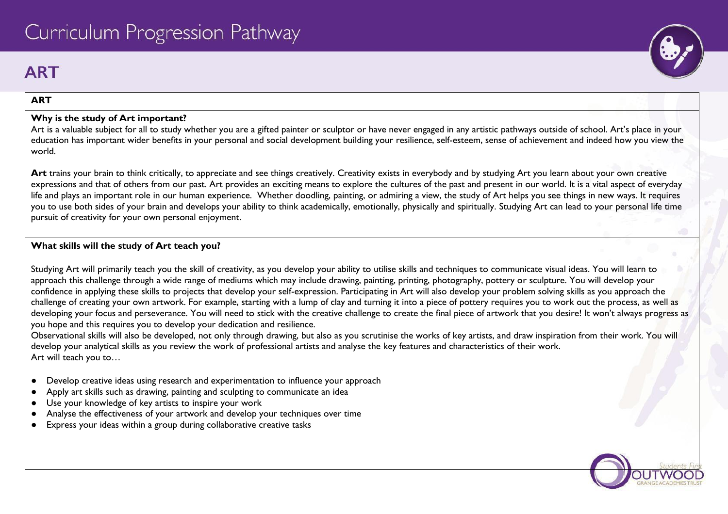# **ART**

#### **ART**

#### **Why is the study of Art important?**

Art is a valuable subject for all to study whether you are a gifted painter or sculptor or have never engaged in any artistic pathways outside of school. Art's place in your education has important wider benefits in your personal and social development building your resilience, self-esteem, sense of achievement and indeed how you view the world.

Art trains your brain to think critically, to appreciate and see things creatively. Creativity exists in everybody and by studying Art you learn about your own creative expressions and that of others from our past. Art provides an exciting means to explore the cultures of the past and present in our world. It is a vital aspect of everyday life and plays an important role in our human experience. Whether doodling, painting, or admiring a view, the study of Art helps you see things in new ways. It requires you to use both sides of your brain and develops your ability to think academically, emotionally, physically and spiritually. Studying Art can lead to your personal life time pursuit of creativity for your own personal enjoyment.

#### **What skills will the study of Art teach you?**

Studying Art will primarily teach you the skill of creativity, as you develop your ability to utilise skills and techniques to communicate visual ideas. You will learn to approach this challenge through a wide range of mediums which may include drawing, painting, printing, photography, pottery or sculpture. You will develop your confidence in applying these skills to projects that develop your self-expression. Participating in Art will also develop your problem solving skills as you approach the challenge of creating your own artwork. For example, starting with a lump of clay and turning it into a piece of pottery requires you to work out the process, as well as developing your focus and perseverance. You will need to stick with the creative challenge to create the final piece of artwork that you desire! It won't always progress as you hope and this requires you to develop your dedication and resilience.

Observational skills will also be developed, not only through drawing, but also as you scrutinise the works of key artists, and draw inspiration from their work. You will develop your analytical skills as you review the work of professional artists and analyse the key features and characteristics of their work. Art will teach you to…

- Develop creative ideas using research and experimentation to influence your approach
- Apply art skills such as drawing, painting and sculpting to communicate an idea
- Use your knowledge of key artists to inspire your work
- Analyse the effectiveness of your artwork and develop your techniques over time
- Express your ideas within a group during collaborative creative tasks

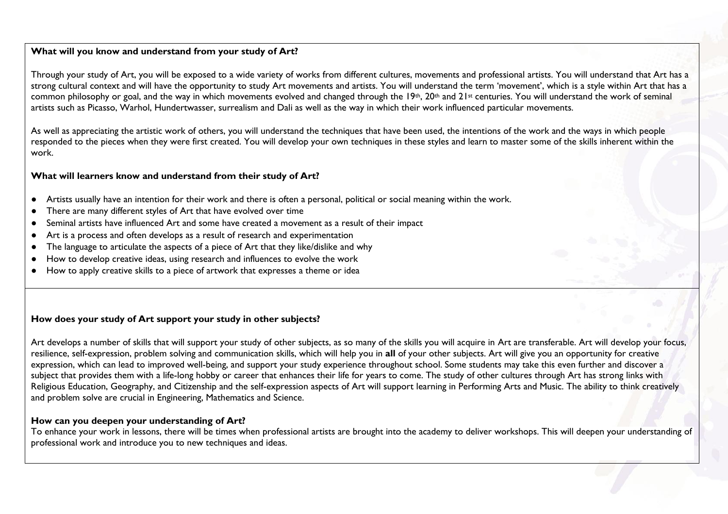#### **What will you know and understand from your study of Art?**

Through your study of Art, you will be exposed to a wide variety of works from different cultures, movements and professional artists. You will understand that Art has a strong cultural context and will have the opportunity to study Art movements and artists. You will understand the term 'movement', which is a style within Art that has a common philosophy or goal, and the way in which movements evolved and changed through the 19th, 20th and 21st centuries. You will understand the work of seminal artists such as Picasso, Warhol, Hundertwasser, surrealism and Dali as well as the way in which their work influenced particular movements.

As well as appreciating the artistic work of others, you will understand the techniques that have been used, the intentions of the work and the ways in which people responded to the pieces when they were first created. You will develop your own techniques in these styles and learn to master some of the skills inherent within the work.

#### **What will learners know and understand from their study of Art?**

- Artists usually have an intention for their work and there is often a personal, political or social meaning within the work.
- There are many different styles of Art that have evolved over time
- Seminal artists have influenced Art and some have created a movement as a result of their impact
- Art is a process and often develops as a result of research and experimentation
- The language to articulate the aspects of a piece of Art that they like/dislike and why
- How to develop creative ideas, using research and influences to evolve the work
- How to apply creative skills to a piece of artwork that expresses a theme or idea

#### **How does your study of Art support your study in other subjects?**

Art develops a number of skills that will support your study of other subjects, as so many of the skills you will acquire in Art are transferable. Art will develop your focus, resilience, self-expression, problem solving and communication skills, which will help you in **all** of your other subjects. Art will give you an opportunity for creative expression, which can lead to improved well-being, and support your study experience throughout school. Some students may take this even further and discover a subject that provides them with a life-long hobby or career that enhances their life for years to come. The study of other cultures through Art has strong links with Religious Education, Geography, and Citizenship and the self-expression aspects of Art will support learning in Performing Arts and Music. The ability to think creatively and problem solve are crucial in Engineering, Mathematics and Science.

#### **How can you deepen your understanding of Art?**

To enhance your work in lessons, there will be times when professional artists are brought into the academy to deliver workshops. This will deepen your understanding of professional work and introduce you to new techniques and ideas.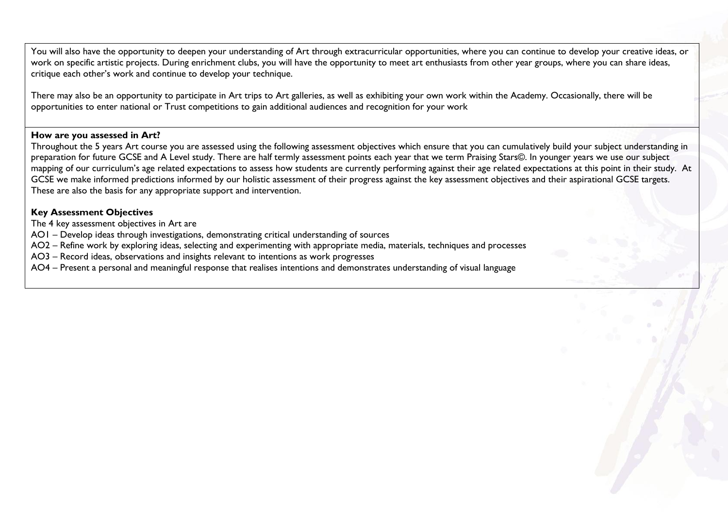You will also have the opportunity to deepen your understanding of Art through extracurricular opportunities, where you can continue to develop your creative ideas, or work on specific artistic projects. During enrichment clubs, you will have the opportunity to meet art enthusiasts from other year groups, where you can share ideas, critique each other's work and continue to develop your technique.

There may also be an opportunity to participate in Art trips to Art galleries, as well as exhibiting your own work within the Academy. Occasionally, there will be opportunities to enter national or Trust competitions to gain additional audiences and recognition for your work

#### **How are you assessed in Art?**

Throughout the 5 years Art course you are assessed using the following assessment objectives which ensure that you can cumulatively build your subject understanding in preparation for future GCSE and A Level study. There are half termly assessment points each year that we term Praising Stars©. In younger years we use our subject mapping of our curriculum's age related expectations to assess how students are currently performing against their age related expectations at this point in their study. At GCSE we make informed predictions informed by our holistic assessment of their progress against the key assessment objectives and their aspirational GCSE targets. These are also the basis for any appropriate support and intervention.

#### **Key Assessment Objectives**

The 4 key assessment objectives in Art are

AO1 – Develop ideas through investigations, demonstrating critical understanding of sources

AO2 – Refine work by exploring ideas, selecting and experimenting with appropriate media, materials, techniques and processes

AO3 – Record ideas, observations and insights relevant to intentions as work progresses

AO4 – Present a personal and meaningful response that realises intentions and demonstrates understanding of visual language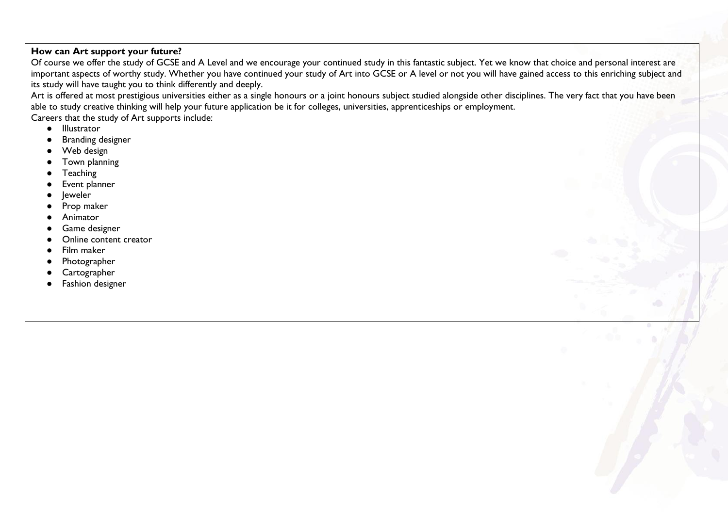### **How can Art support your future?**

Of course we offer the study of GCSE and A Level and we encourage your continued study in this fantastic subject. Yet we know that choice and personal interest are important aspects of worthy study. Whether you have continued your study of Art into GCSE or A level or not you will have gained access to this enriching subject and its study will have taught you to think differently and deeply.

Art is offered at most prestigious universities either as a single honours or a joint honours subject studied alongside other disciplines. The very fact that you have been able to study creative thinking will help your future application be it for colleges, universities, apprenticeships or employment.

Careers that the study of Art supports include:

- Illustrator
- **Branding designer**
- Web design
- Town planning
- **Teaching**
- Event planner
- leweler
- Prop maker
- **Animator**
- Game designer
- Online content creator
- Film maker
- Photographer
- Cartographer
- Fashion designer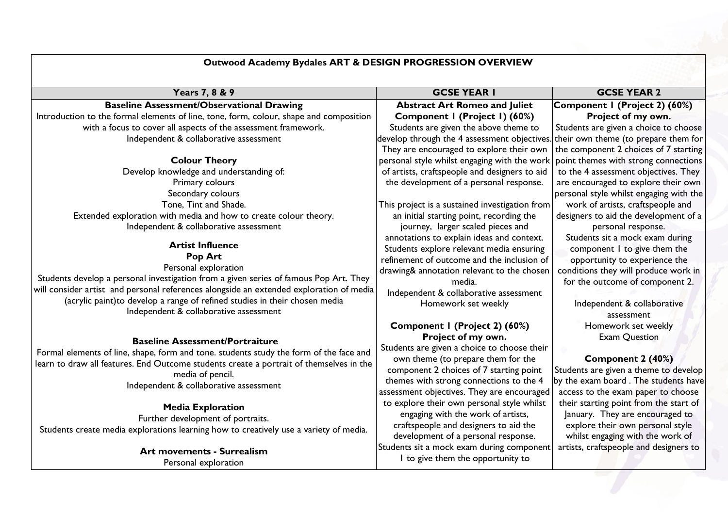## **Outwood Academy Bydales ART & DESIGN PROGRESSION OVERVIEW**

| Years 7, 8 & 9                                                                          | <b>GCSE YEAR I</b>                                                                | <b>GCSE YEAR 2</b>                      |
|-----------------------------------------------------------------------------------------|-----------------------------------------------------------------------------------|-----------------------------------------|
| <b>Baseline Assessment/Observational Drawing</b>                                        | <b>Abstract Art Romeo and Juliet</b>                                              | Component I (Project 2) (60%)           |
| Introduction to the formal elements of line, tone, form, colour, shape and composition  | Component I (Project I) (60%)                                                     | Project of my own.                      |
| with a focus to cover all aspects of the assessment framework.                          | Students are given the above theme to                                             | Students are given a choice to choose   |
| Independent & collaborative assessment                                                  | develop through the 4 assessment objectives. their own theme (to prepare them for |                                         |
|                                                                                         | They are encouraged to explore their own                                          | the component 2 choices of 7 starting   |
| <b>Colour Theory</b>                                                                    | personal style whilst engaging with the work                                      | point themes with strong connections    |
| Develop knowledge and understanding of:                                                 | of artists, craftspeople and designers to aid                                     | to the 4 assessment objectives. They    |
| Primary colours                                                                         | the development of a personal response.                                           | are encouraged to explore their own     |
| Secondary colours                                                                       |                                                                                   | personal style whilst engaging with the |
| Tone, Tint and Shade.                                                                   | This project is a sustained investigation from                                    | work of artists, craftspeople and       |
| Extended exploration with media and how to create colour theory.                        | an initial starting point, recording the                                          | designers to aid the development of a   |
| Independent & collaborative assessment                                                  | journey, larger scaled pieces and                                                 | personal response.                      |
|                                                                                         | annotations to explain ideas and context.                                         | Students sit a mock exam during         |
| <b>Artist Influence</b>                                                                 | Students explore relevant media ensuring                                          | component I to give them the            |
| Pop Art                                                                                 | refinement of outcome and the inclusion of                                        | opportunity to experience the           |
| Personal exploration                                                                    | drawing& annotation relevant to the chosen                                        | conditions they will produce work in    |
| Students develop a personal investigation from a given series of famous Pop Art. They   | media.                                                                            | for the outcome of component 2.         |
| will consider artist and personal references alongside an extended exploration of media | Independent & collaborative assessment                                            |                                         |
| (acrylic paint)to develop a range of refined studies in their chosen media              | Homework set weekly                                                               | Independent & collaborative             |
| Independent & collaborative assessment                                                  |                                                                                   | assessment                              |
|                                                                                         | Component I (Project 2) (60%)                                                     | Homework set weekly                     |
| <b>Baseline Assessment/Portraiture</b>                                                  | Project of my own.                                                                | <b>Exam Question</b>                    |
| Formal elements of line, shape, form and tone. students study the form of the face and  | Students are given a choice to choose their                                       |                                         |
| learn to draw all features. End Outcome students create a portrait of themselves in the | own theme (to prepare them for the                                                | Component 2 (40%)                       |
| media of pencil.                                                                        | component 2 choices of 7 starting point                                           | Students are given a theme to develop   |
| Independent & collaborative assessment                                                  | themes with strong connections to the 4                                           | by the exam board. The students have    |
|                                                                                         | assessment objectives. They are encouraged                                        | access to the exam paper to choose      |
| <b>Media Exploration</b>                                                                | to explore their own personal style whilst                                        | their starting point from the start of  |
| Further development of portraits.                                                       | engaging with the work of artists,                                                | January. They are encouraged to         |
| Students create media explorations learning how to creatively use a variety of media.   | craftspeople and designers to aid the                                             | explore their own personal style        |
|                                                                                         | development of a personal response.                                               | whilst engaging with the work of        |
| <b>Art movements - Surrealism</b>                                                       | Students sit a mock exam during component                                         | artists, craftspeople and designers to  |
| Personal exploration                                                                    | I to give them the opportunity to                                                 |                                         |
|                                                                                         |                                                                                   |                                         |